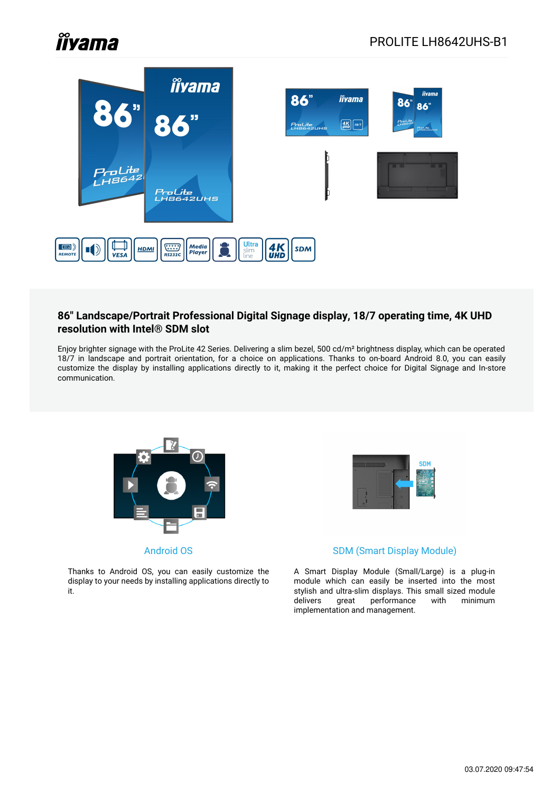# **Îlyama**



#### **86" Landscape/Portrait Professional Digital Signage display, 18/7 operating time, 4K UHD resolution with Intel® SDM slot**

Enjoy brighter signage with the ProLite 42 Series. Delivering a slim bezel, 500 cd/m² brightness display, which can be operated 18/7 in landscape and portrait orientation, for a choice on applications. Thanks to on-board Android 8.0, you can easily customize the display by installing applications directly to it, making it the perfect choice for Digital Signage and In-store communication.



Android OS

Thanks to Android OS, you can easily customize the display to your needs by installing applications directly to it.



#### SDM (Smart Display Module)

A Smart Display Module (Small/Large) is a plug-in module which can easily be inserted into the most stylish and ultra-slim displays. This small sized module delivers great performance with minimum implementation and management.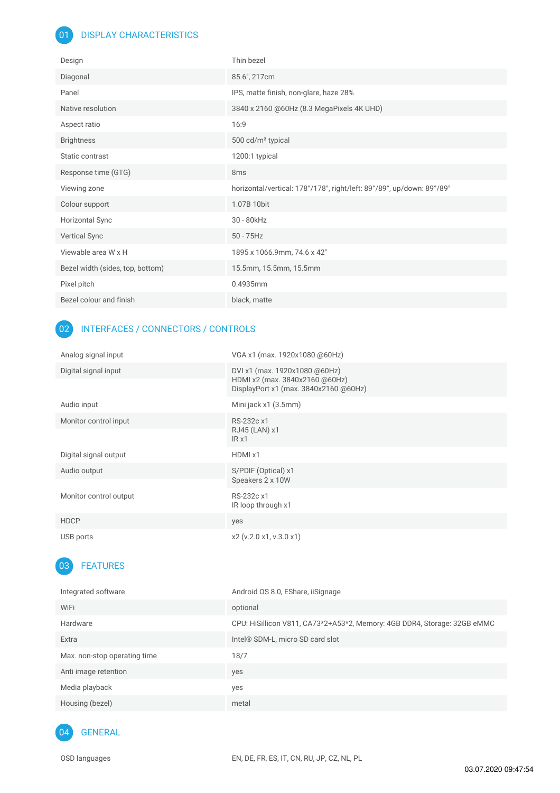#### 01 DISPLAY CHARACTERISTICS

| Design                           | Thin bezel                                                            |
|----------------------------------|-----------------------------------------------------------------------|
| Diagonal                         | 85.6", 217cm                                                          |
| Panel                            | IPS, matte finish, non-glare, haze 28%                                |
| Native resolution                | 3840 x 2160 @60Hz (8.3 MegaPixels 4K UHD)                             |
| Aspect ratio                     | 16:9                                                                  |
| <b>Brightness</b>                | 500 cd/m <sup>2</sup> typical                                         |
| Static contrast                  | 1200:1 typical                                                        |
| Response time (GTG)              | 8 <sub>ms</sub>                                                       |
|                                  |                                                                       |
| Viewing zone                     | horizontal/vertical: 178°/178°, right/left: 89°/89°, up/down: 89°/89° |
| Colour support                   | 1.07B 10bit                                                           |
| <b>Horizontal Sync</b>           | 30 - 80kHz                                                            |
| Vertical Sync                    | $50 - 75$ Hz                                                          |
| Viewable area W x H              | 1895 x 1066.9mm, 74.6 x 42"                                           |
| Bezel width (sides, top, bottom) | 15.5mm, 15.5mm, 15.5mm                                                |
| Pixel pitch                      | 0.4935mm                                                              |

#### 02 INTERFACES / CONNECTORS / CONTROLS

| Analog signal input    | VGA x1 (max. 1920x1080 @60Hz)                                                                            |
|------------------------|----------------------------------------------------------------------------------------------------------|
| Digital signal input   | DVI x1 (max. 1920x1080 @60Hz)<br>HDMI x2 (max. 3840x2160 @60Hz)<br>DisplayPort x1 (max. 3840x2160 @60Hz) |
| Audio input            | Mini jack x1 (3.5mm)                                                                                     |
| Monitor control input  | RS-232c x1<br>RJ45 (LAN) x1<br>IRx1                                                                      |
| Digital signal output  | HDMI x1                                                                                                  |
| Audio output           | S/PDIF (Optical) x1<br>Speakers 2 x 10W                                                                  |
| Monitor control output | RS-232c x1<br>IR loop through x1                                                                         |
| <b>HDCP</b>            | yes                                                                                                      |
| USB ports              | x2 (v.2.0 x1, v.3.0 x1)                                                                                  |

## 03 FEATURES

| Integrated software          | Android OS 8.0, EShare, iiSignage                                        |
|------------------------------|--------------------------------------------------------------------------|
| WiFi                         | optional                                                                 |
| Hardware                     | CPU: HiSillicon V811, CA73*2+A53*2, Memory: 4GB DDR4, Storage: 32GB eMMC |
| Extra                        | Intel <sup>®</sup> SDM-L, micro SD card slot                             |
| Max. non-stop operating time | 18/7                                                                     |
| Anti image retention         | yes                                                                      |
| Media playback               | yes                                                                      |
| Housing (bezel)              | metal                                                                    |
|                              |                                                                          |

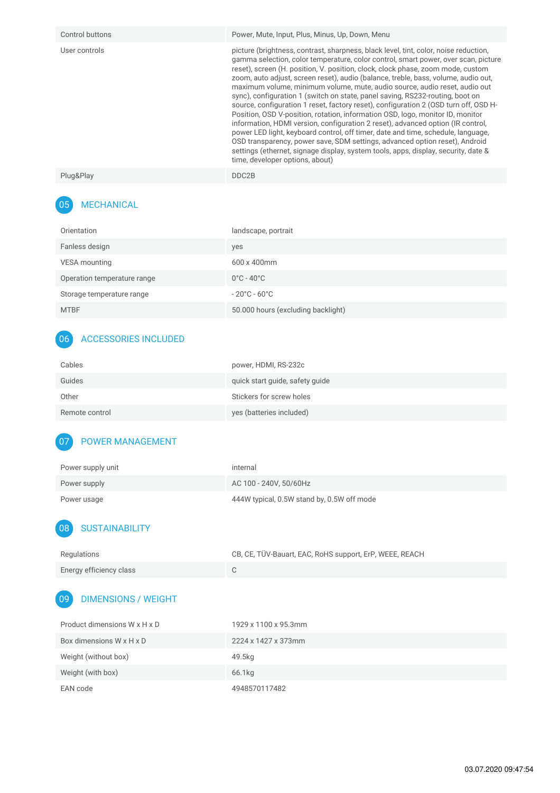| Control buttons | Power, Mute, Input, Plus, Minus, Up, Down, Menu                                                                                                                                                                                                                                                                                                                                                                                                                                                                                                                                                                                                                                                                                                                                                                                                                                                                                                                                                                                                                             |
|-----------------|-----------------------------------------------------------------------------------------------------------------------------------------------------------------------------------------------------------------------------------------------------------------------------------------------------------------------------------------------------------------------------------------------------------------------------------------------------------------------------------------------------------------------------------------------------------------------------------------------------------------------------------------------------------------------------------------------------------------------------------------------------------------------------------------------------------------------------------------------------------------------------------------------------------------------------------------------------------------------------------------------------------------------------------------------------------------------------|
| User controls   | picture (brightness, contrast, sharpness, black level, tint, color, noise reduction,<br>gamma selection, color temperature, color control, smart power, over scan, picture<br>reset), screen (H. position, V. position, clock, clock phase, zoom mode, custom<br>zoom, auto adjust, screen reset), audio (balance, treble, bass, volume, audio out,<br>maximum volume, minimum volume, mute, audio source, audio reset, audio out<br>sync), configuration 1 (switch on state, panel saving, RS232-routing, boot on<br>source, configuration 1 reset, factory reset), configuration 2 (OSD turn off, OSD H-<br>Position, OSD V-position, rotation, information OSD, logo, monitor ID, monitor<br>information, HDMI version, configuration 2 reset), advanced option (IR control,<br>power LED light, keyboard control, off timer, date and time, schedule, language,<br>OSD transparency, power save, SDM settings, advanced option reset), Android<br>settings (ethernet, signage display, system tools, apps, display, security, date &<br>time, developer options, about) |
| Plug&Play       | DDC2B                                                                                                                                                                                                                                                                                                                                                                                                                                                                                                                                                                                                                                                                                                                                                                                                                                                                                                                                                                                                                                                                       |

## 05 MECHANICAL

| Orientation                 | landscape, portrait                |
|-----------------------------|------------------------------------|
| Fanless design              | yes                                |
| VESA mounting               | $600 \times 400$ mm                |
| Operation temperature range | $0^{\circ}$ C - 40 $^{\circ}$ C    |
| Storage temperature range   | $-20^{\circ}$ C - 60 $^{\circ}$ C  |
| <b>MTBF</b>                 | 50.000 hours (excluding backlight) |

## 06 ACCESSORIES INCLUDED

| Cables         | power, HDMI, RS-232c            |
|----------------|---------------------------------|
| Guides         | quick start guide, safety guide |
| Other          | Stickers for screw holes        |
| Remote control | yes (batteries included)        |

### 07 POWER MANAGEMENT

| Power supply unit | internal                                   |
|-------------------|--------------------------------------------|
| Power supply      | AC 100 - 240V. 50/60Hz                     |
| Power usage       | 444W typical, 0.5W stand by, 0.5W off mode |

## 08 SUSTAINABILITY

| Regulations             | CB, CE, TÜV-Bauart, EAC, RoHS support, ErP, WEEE, REACH |
|-------------------------|---------------------------------------------------------|
| Energy efficiency class |                                                         |

# 09 DIMENSIONS / WEIGHT

| Product dimensions W x H x D | 1929 x 1100 x 95.3mm |
|------------------------------|----------------------|
| Box dimensions W x H x D     | 2224 x 1427 x 373mm  |
| Weight (without box)         | 49.5kg               |
| Weight (with box)            | 66.1kg               |
| EAN code                     | 4948570117482        |